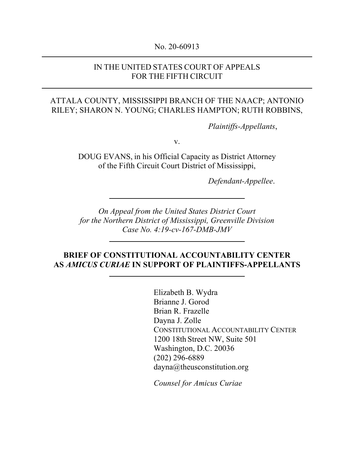#### No. 20-60913

#### IN THE UNITED STATES COURT OF APPEALS FOR THE FIFTH CIRCUIT

### ATTALA COUNTY, MISSISSIPPI BRANCH OF THE NAACP; ANTONIO RILEY; SHARON N. YOUNG; CHARLES HAMPTON; RUTH ROBBINS,

*Plaintiffs-Appellants*,

v.

DOUG EVANS, in his Official Capacity as District Attorney of the Fifth Circuit Court District of Mississippi,

*Defendant-Appellee*.

*On Appeal from the United States District Court for the Northern District of Mississippi, Greenville Division Case No. 4:19-cv-167-DMB-JMV*

### **BRIEF OF CONSTITUTIONAL ACCOUNTABILITY CENTER AS** *AMICUS CURIAE* **IN SUPPORT OF PLAINTIFFS-APPELLANTS**

Elizabeth B. Wydra Brianne J. Gorod Brian R. Frazelle Dayna J. Zolle CONSTITUTIONAL ACCOUNTABILITY CENTER 1200 18th Street NW, Suite 501 Washington, D.C. 20036 (202) 296-6889 dayna@theusconstitution.org

*Counsel for Amicus Curiae*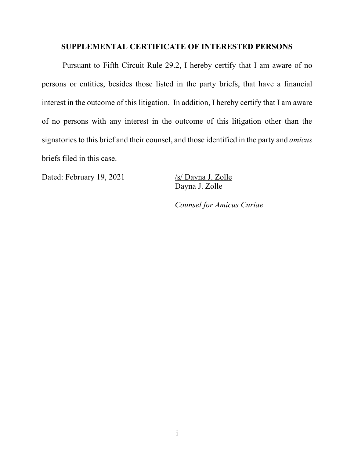### **SUPPLEMENTAL CERTIFICATE OF INTERESTED PERSONS**

Pursuant to Fifth Circuit Rule 29.2, I hereby certify that I am aware of no persons or entities, besides those listed in the party briefs, that have a financial interest in the outcome of this litigation. In addition, I hereby certify that I am aware of no persons with any interest in the outcome of this litigation other than the signatories to this brief and their counsel, and those identified in the party and *amicus*  briefs filed in this case.

Dated: February 19, 2021 /s/ Dayna J. Zolle

Dayna J. Zolle

*Counsel for Amicus Curiae*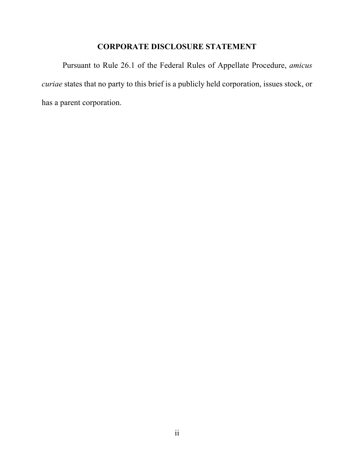### **CORPORATE DISCLOSURE STATEMENT**

Pursuant to Rule 26.1 of the Federal Rules of Appellate Procedure, *amicus curiae* states that no party to this brief is a publicly held corporation, issues stock, or has a parent corporation.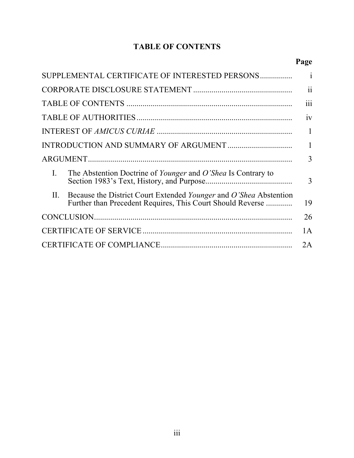# **TABLE OF CONTENTS**

# **Page**

| SUPPLEMENTAL CERTIFICATE OF INTERESTED PERSONS                                                                                         | $\mathbf{i}$              |
|----------------------------------------------------------------------------------------------------------------------------------------|---------------------------|
|                                                                                                                                        | $\bullet\; \bullet$<br>11 |
|                                                                                                                                        | 111                       |
|                                                                                                                                        | 1V                        |
|                                                                                                                                        | $\mathbf{1}$              |
|                                                                                                                                        | $\mathbf{1}$              |
|                                                                                                                                        | 3                         |
| L.<br>The Abstention Doctrine of <i>Younger</i> and <i>O'Shea</i> Is Contrary to                                                       | 3                         |
| Because the District Court Extended Younger and O'Shea Abstention<br>II.<br>Further than Precedent Requires, This Court Should Reverse | 19                        |
|                                                                                                                                        | 26                        |
|                                                                                                                                        | 1A                        |
|                                                                                                                                        | 2A                        |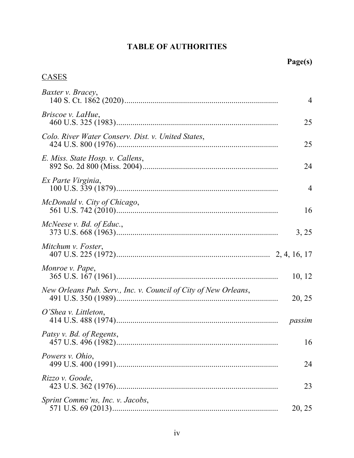# **TABLE OF AUTHORITIES**

# CASES

| Baxter v. Bracey,                                               | $\overline{4}$ |
|-----------------------------------------------------------------|----------------|
| Briscoe v. LaHue,                                               | 25             |
| Colo. River Water Conserv. Dist. v. United States,              | 25             |
| E. Miss. State Hosp. v. Callens,                                | 24             |
| Ex Parte Virginia,                                              | $\overline{4}$ |
| McDonald v. City of Chicago,                                    | 16             |
| McNeese v. Bd. of Educ.,                                        | 3, 25          |
| Mitchum v. Foster,                                              |                |
| Monroe v. Pape,                                                 | 10, 12         |
| New Orleans Pub. Serv., Inc. v. Council of City of New Orleans, | 20, 25         |
| $O'$ Shea v. Littleton,                                         |                |
| Patsy v. Bd. of Regents,                                        | 16             |
| Powers v. Ohio,                                                 | 24             |
| Rizzo v. Goode,                                                 | 23             |
| Sprint Comme'ns, Inc. v. Jacobs,                                | 20, 25         |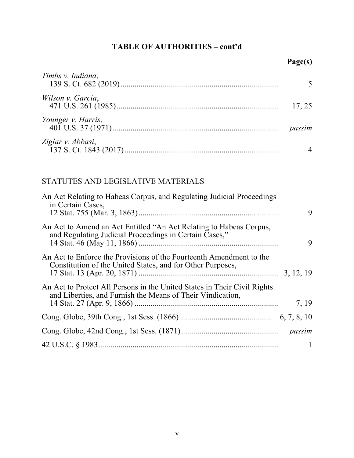## **TABLE OF AUTHORITIES – cont'd**

| Timbs v. Indiana,  |        |
|--------------------|--------|
| Wilson v. Garcia,  | 17, 25 |
| Younger v. Harris, | passim |
| Ziglar v. Abbasi,  |        |

## STATUTES AND LEGISLATIVE MATERIALS

| An Act Relating to Habeas Corpus, and Regulating Judicial Proceedings<br>in Certain Cases,                                             | 9            |
|----------------------------------------------------------------------------------------------------------------------------------------|--------------|
| An Act to Amend an Act Entitled "An Act Relating to Habeas Corpus,<br>and Regulating Judicial Proceedings in Certain Cases,"           | 9            |
| An Act to Enforce the Provisions of the Fourteenth Amendment to the<br>Constitution of the United States, and for Other Purposes,      |              |
| An Act to Protect All Persons in the United States in Their Civil Rights<br>and Liberties, and Furnish the Means of Their Vindication, | 7, 19        |
|                                                                                                                                        |              |
|                                                                                                                                        |              |
|                                                                                                                                        | $\mathbf{1}$ |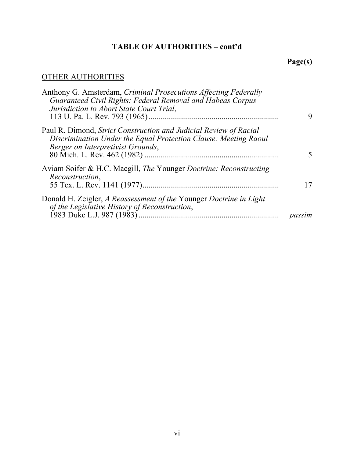# **TABLE OF AUTHORITIES – cont'd**

# **Page(s)**

# OTHER AUTHORITIES

| Anthony G. Amsterdam, Criminal Prosecutions Affecting Federally<br>Guaranteed Civil Rights: Federal Removal and Habeas Corpus<br>Jurisdiction to Abort State Court Trial, | 9      |
|---------------------------------------------------------------------------------------------------------------------------------------------------------------------------|--------|
| Paul R. Dimond, Strict Construction and Judicial Review of Racial<br>Discrimination Under the Equal Protection Clause: Meeting Raoul<br>Berger on Interpretivist Grounds, |        |
| Aviam Soifer & H.C. Macgill, The Younger Doctrine: Reconstructing<br>Reconstruction,                                                                                      | 17     |
| Donald H. Zeigler, A Reassessment of the Younger Doctrine in Light<br>of the Legislative History of Reconstruction,                                                       | passim |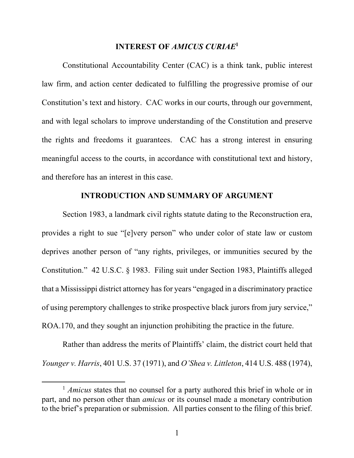#### **INTEREST OF** *AMICUS CURIAE***<sup>1</sup>**

Constitutional Accountability Center (CAC) is a think tank, public interest law firm, and action center dedicated to fulfilling the progressive promise of our Constitution's text and history. CAC works in our courts, through our government, and with legal scholars to improve understanding of the Constitution and preserve the rights and freedoms it guarantees. CAC has a strong interest in ensuring meaningful access to the courts, in accordance with constitutional text and history, and therefore has an interest in this case.

#### **INTRODUCTION AND SUMMARY OF ARGUMENT**

Section 1983, a landmark civil rights statute dating to the Reconstruction era, provides a right to sue "[e]very person" who under color of state law or custom deprives another person of "any rights, privileges, or immunities secured by the Constitution." 42 U.S.C. § 1983. Filing suit under Section 1983, Plaintiffs alleged that a Mississippi district attorney has for years "engaged in a discriminatory practice of using peremptory challenges to strike prospective black jurors from jury service," ROA.170, and they sought an injunction prohibiting the practice in the future.

Rather than address the merits of Plaintiffs' claim, the district court held that *Younger v. Harris*, 401 U.S. 37 (1971), and *O'Shea v. Littleton*, 414 U.S. 488 (1974),

<sup>&</sup>lt;sup>1</sup> *Amicus* states that no counsel for a party authored this brief in whole or in part, and no person other than *amicus* or its counsel made a monetary contribution to the brief's preparation or submission. All parties consent to the filing of this brief.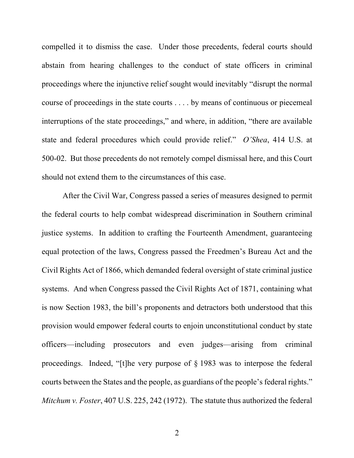compelled it to dismiss the case. Under those precedents, federal courts should abstain from hearing challenges to the conduct of state officers in criminal proceedings where the injunctive relief sought would inevitably "disrupt the normal course of proceedings in the state courts . . . . by means of continuous or piecemeal interruptions of the state proceedings," and where, in addition, "there are available state and federal procedures which could provide relief." *O'Shea*, 414 U.S. at 500-02. But those precedents do not remotely compel dismissal here, and this Court should not extend them to the circumstances of this case.

After the Civil War, Congress passed a series of measures designed to permit the federal courts to help combat widespread discrimination in Southern criminal justice systems. In addition to crafting the Fourteenth Amendment, guaranteeing equal protection of the laws, Congress passed the Freedmen's Bureau Act and the Civil Rights Act of 1866, which demanded federal oversight of state criminal justice systems. And when Congress passed the Civil Rights Act of 1871, containing what is now Section 1983, the bill's proponents and detractors both understood that this provision would empower federal courts to enjoin unconstitutional conduct by state officers—including prosecutors and even judges—arising from criminal proceedings. Indeed, "[t]he very purpose of § 1983 was to interpose the federal courts between the States and the people, as guardians of the people's federal rights." *Mitchum v. Foster*, 407 U.S. 225, 242 (1972). The statute thus authorized the federal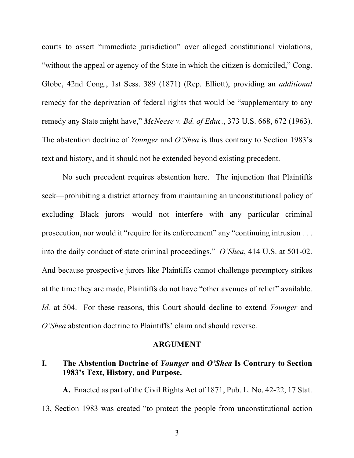courts to assert "immediate jurisdiction" over alleged constitutional violations, "without the appeal or agency of the State in which the citizen is domiciled," Cong. Globe, 42nd Cong., 1st Sess. 389 (1871) (Rep. Elliott), providing an *additional* remedy for the deprivation of federal rights that would be "supplementary to any remedy any State might have," *McNeese v. Bd. of Educ.*, 373 U.S. 668, 672 (1963). The abstention doctrine of *Younger* and *O'Shea* is thus contrary to Section 1983's text and history, and it should not be extended beyond existing precedent.

No such precedent requires abstention here. The injunction that Plaintiffs seek—prohibiting a district attorney from maintaining an unconstitutional policy of excluding Black jurors—would not interfere with any particular criminal prosecution, nor would it "require for its enforcement" any "continuing intrusion . . . into the daily conduct of state criminal proceedings." *O'Shea*, 414 U.S. at 501-02. And because prospective jurors like Plaintiffs cannot challenge peremptory strikes at the time they are made, Plaintiffs do not have "other avenues of relief" available. *Id.* at 504. For these reasons, this Court should decline to extend *Younger* and *O'Shea* abstention doctrine to Plaintiffs' claim and should reverse.

#### **ARGUMENT**

#### **I. The Abstention Doctrine of** *Younger* **and** *O'Shea* **Is Contrary to Section 1983's Text, History, and Purpose.**

**A.** Enacted as part of the Civil Rights Act of 1871, Pub. L. No. 42-22, 17 Stat. 13, Section 1983 was created "to protect the people from unconstitutional action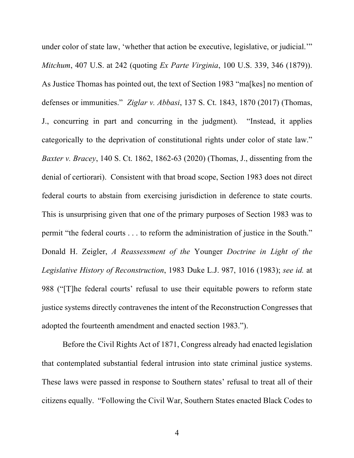under color of state law, 'whether that action be executive, legislative, or judicial.'" *Mitchum*, 407 U.S. at 242 (quoting *Ex Parte Virginia*, 100 U.S. 339, 346 (1879)). As Justice Thomas has pointed out, the text of Section 1983 "ma[kes] no mention of defenses or immunities." *Ziglar v. Abbasi*, 137 S. Ct. 1843, 1870 (2017) (Thomas, J., concurring in part and concurring in the judgment). "Instead, it applies categorically to the deprivation of constitutional rights under color of state law." *Baxter v. Bracey*, 140 S. Ct. 1862, 1862-63 (2020) (Thomas, J., dissenting from the denial of certiorari). Consistent with that broad scope, Section 1983 does not direct federal courts to abstain from exercising jurisdiction in deference to state courts. This is unsurprising given that one of the primary purposes of Section 1983 was to permit "the federal courts . . . to reform the administration of justice in the South." Donald H. Zeigler, *A Reassessment of the* Younger *Doctrine in Light of the Legislative History of Reconstruction*, 1983 Duke L.J. 987, 1016 (1983); *see id.* at 988 ("[T]he federal courts' refusal to use their equitable powers to reform state justice systems directly contravenes the intent of the Reconstruction Congresses that adopted the fourteenth amendment and enacted section 1983.").

Before the Civil Rights Act of 1871, Congress already had enacted legislation that contemplated substantial federal intrusion into state criminal justice systems. These laws were passed in response to Southern states' refusal to treat all of their citizens equally. "Following the Civil War, Southern States enacted Black Codes to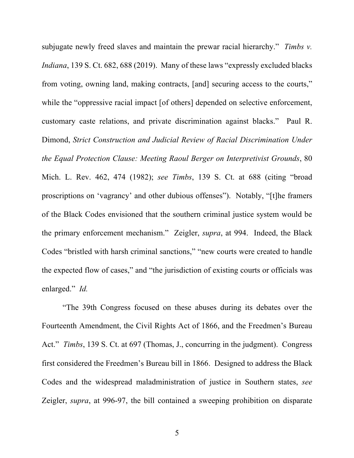subjugate newly freed slaves and maintain the prewar racial hierarchy." *Timbs v. Indiana*, 139 S. Ct. 682, 688 (2019). Many of these laws "expressly excluded blacks from voting, owning land, making contracts, [and] securing access to the courts," while the "oppressive racial impact [of others] depended on selective enforcement, customary caste relations, and private discrimination against blacks." Paul R. Dimond, *Strict Construction and Judicial Review of Racial Discrimination Under the Equal Protection Clause: Meeting Raoul Berger on Interpretivist Grounds*, 80 Mich. L. Rev. 462, 474 (1982); *see Timbs*, 139 S. Ct. at 688 (citing "broad proscriptions on 'vagrancy' and other dubious offenses"). Notably, "[t]he framers of the Black Codes envisioned that the southern criminal justice system would be the primary enforcement mechanism." Zeigler, *supra*, at 994. Indeed, the Black Codes "bristled with harsh criminal sanctions," "new courts were created to handle the expected flow of cases," and "the jurisdiction of existing courts or officials was enlarged." *Id.*

"The 39th Congress focused on these abuses during its debates over the Fourteenth Amendment, the Civil Rights Act of 1866, and the Freedmen's Bureau Act." *Timbs*, 139 S. Ct. at 697 (Thomas, J., concurring in the judgment). Congress first considered the Freedmen's Bureau bill in 1866. Designed to address the Black Codes and the widespread maladministration of justice in Southern states, *see* Zeigler, *supra*, at 996-97, the bill contained a sweeping prohibition on disparate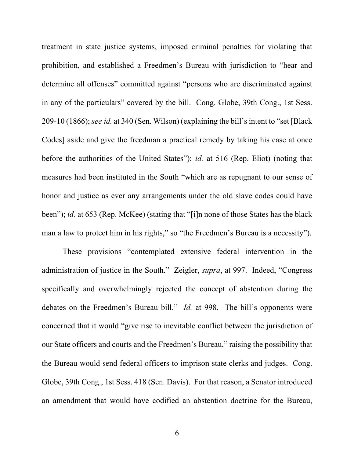treatment in state justice systems, imposed criminal penalties for violating that prohibition, and established a Freedmen's Bureau with jurisdiction to "hear and determine all offenses" committed against "persons who are discriminated against in any of the particulars" covered by the bill. Cong. Globe, 39th Cong., 1st Sess. 209-10 (1866); *see id.* at 340 (Sen. Wilson) (explaining the bill's intent to "set [Black Codes] aside and give the freedman a practical remedy by taking his case at once before the authorities of the United States"); *id.* at 516 (Rep. Eliot) (noting that measures had been instituted in the South "which are as repugnant to our sense of honor and justice as ever any arrangements under the old slave codes could have been"); *id.* at 653 (Rep. McKee) (stating that "[i]n none of those States has the black man a law to protect him in his rights," so "the Freedmen's Bureau is a necessity").

These provisions "contemplated extensive federal intervention in the administration of justice in the South." Zeigler, *supra*, at 997. Indeed, "Congress specifically and overwhelmingly rejected the concept of abstention during the debates on the Freedmen's Bureau bill." *Id.* at 998. The bill's opponents were concerned that it would "give rise to inevitable conflict between the jurisdiction of our State officers and courts and the Freedmen's Bureau," raising the possibility that the Bureau would send federal officers to imprison state clerks and judges. Cong. Globe, 39th Cong., 1st Sess. 418 (Sen. Davis). For that reason, a Senator introduced an amendment that would have codified an abstention doctrine for the Bureau,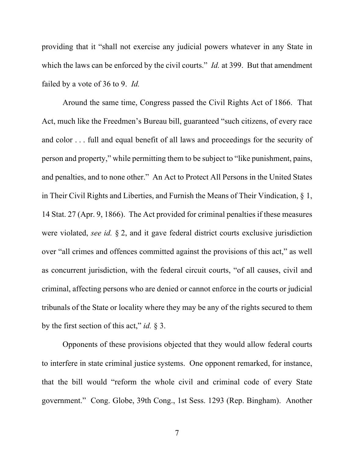providing that it "shall not exercise any judicial powers whatever in any State in which the laws can be enforced by the civil courts." *Id.* at 399. But that amendment failed by a vote of 36 to 9. *Id.*

Around the same time, Congress passed the Civil Rights Act of 1866. That Act, much like the Freedmen's Bureau bill, guaranteed "such citizens, of every race and color . . . full and equal benefit of all laws and proceedings for the security of person and property," while permitting them to be subject to "like punishment, pains, and penalties, and to none other." An Act to Protect All Persons in the United States in Their Civil Rights and Liberties, and Furnish the Means of Their Vindication, § 1, 14 Stat. 27 (Apr. 9, 1866). The Act provided for criminal penalties if these measures were violated, *see id.* § 2, and it gave federal district courts exclusive jurisdiction over "all crimes and offences committed against the provisions of this act," as well as concurrent jurisdiction, with the federal circuit courts, "of all causes, civil and criminal, affecting persons who are denied or cannot enforce in the courts or judicial tribunals of the State or locality where they may be any of the rights secured to them by the first section of this act," *id.* § 3.

Opponents of these provisions objected that they would allow federal courts to interfere in state criminal justice systems. One opponent remarked, for instance, that the bill would "reform the whole civil and criminal code of every State government." Cong. Globe, 39th Cong., 1st Sess. 1293 (Rep. Bingham). Another

7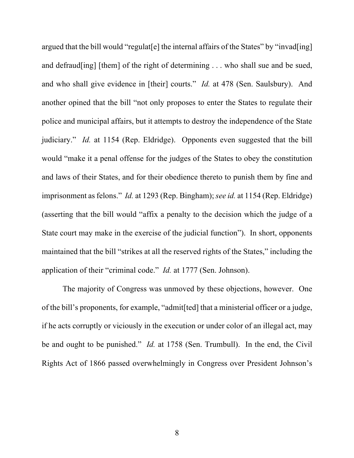argued that the bill would "regulat [e] the internal affairs of the States" by "invad [ing] and defraud[ing] [them] of the right of determining . . . who shall sue and be sued, and who shall give evidence in [their] courts." *Id.* at 478 (Sen. Saulsbury). And another opined that the bill "not only proposes to enter the States to regulate their police and municipal affairs, but it attempts to destroy the independence of the State judiciary." *Id.* at 1154 (Rep. Eldridge). Opponents even suggested that the bill would "make it a penal offense for the judges of the States to obey the constitution and laws of their States, and for their obedience thereto to punish them by fine and imprisonment as felons." *Id.* at 1293 (Rep. Bingham); *see id.* at 1154 (Rep. Eldridge) (asserting that the bill would "affix a penalty to the decision which the judge of a State court may make in the exercise of the judicial function"). In short, opponents maintained that the bill "strikes at all the reserved rights of the States," including the application of their "criminal code." *Id.* at 1777 (Sen. Johnson).

The majority of Congress was unmoved by these objections, however. One of the bill's proponents, for example, "admit[ted] that a ministerial officer or a judge, if he acts corruptly or viciously in the execution or under color of an illegal act, may be and ought to be punished." *Id.* at 1758 (Sen. Trumbull). In the end, the Civil Rights Act of 1866 passed overwhelmingly in Congress over President Johnson's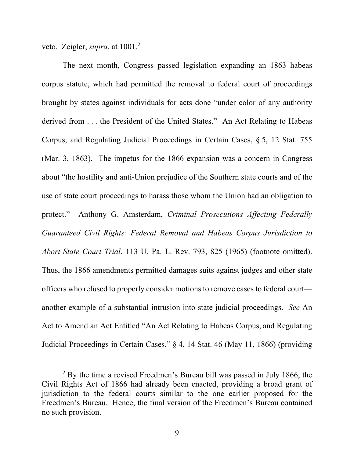veto. Zeigler, *supra*, at 1001.2

The next month, Congress passed legislation expanding an 1863 habeas corpus statute, which had permitted the removal to federal court of proceedings brought by states against individuals for acts done "under color of any authority derived from . . . the President of the United States." An Act Relating to Habeas Corpus, and Regulating Judicial Proceedings in Certain Cases, § 5, 12 Stat. 755 (Mar. 3, 1863). The impetus for the 1866 expansion was a concern in Congress about "the hostility and anti-Union prejudice of the Southern state courts and of the use of state court proceedings to harass those whom the Union had an obligation to protect." Anthony G. Amsterdam, *Criminal Prosecutions Affecting Federally Guaranteed Civil Rights: Federal Removal and Habeas Corpus Jurisdiction to Abort State Court Trial*, 113 U. Pa. L. Rev. 793, 825 (1965) (footnote omitted). Thus, the 1866 amendments permitted damages suits against judges and other state officers who refused to properly consider motions to remove cases to federal court another example of a substantial intrusion into state judicial proceedings. *See* An Act to Amend an Act Entitled "An Act Relating to Habeas Corpus, and Regulating Judicial Proceedings in Certain Cases," § 4, 14 Stat. 46 (May 11, 1866) (providing

 $2$  By the time a revised Freedmen's Bureau bill was passed in July 1866, the Civil Rights Act of 1866 had already been enacted, providing a broad grant of jurisdiction to the federal courts similar to the one earlier proposed for the Freedmen's Bureau. Hence, the final version of the Freedmen's Bureau contained no such provision.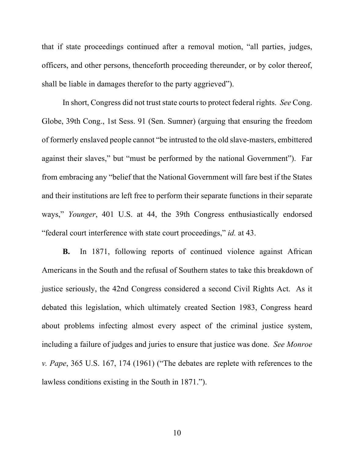that if state proceedings continued after a removal motion, "all parties, judges, officers, and other persons, thenceforth proceeding thereunder, or by color thereof, shall be liable in damages therefor to the party aggrieved").

In short, Congress did not trust state courts to protect federal rights. *See* Cong. Globe, 39th Cong., 1st Sess. 91 (Sen. Sumner) (arguing that ensuring the freedom of formerly enslaved people cannot "be intrusted to the old slave-masters, embittered against their slaves," but "must be performed by the national Government"). Far from embracing any "belief that the National Government will fare best if the States and their institutions are left free to perform their separate functions in their separate ways," *Younger*, 401 U.S. at 44, the 39th Congress enthusiastically endorsed "federal court interference with state court proceedings," *id.* at 43.

**B.** In 1871, following reports of continued violence against African Americans in the South and the refusal of Southern states to take this breakdown of justice seriously, the 42nd Congress considered a second Civil Rights Act. As it debated this legislation, which ultimately created Section 1983, Congress heard about problems infecting almost every aspect of the criminal justice system, including a failure of judges and juries to ensure that justice was done. *See Monroe v. Pape*, 365 U.S. 167, 174 (1961) ("The debates are replete with references to the lawless conditions existing in the South in 1871.").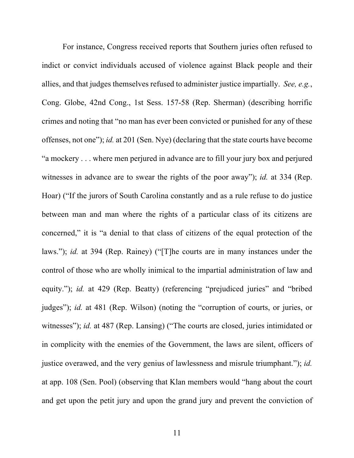For instance, Congress received reports that Southern juries often refused to indict or convict individuals accused of violence against Black people and their allies, and that judges themselves refused to administer justice impartially. *See, e.g.*, Cong. Globe, 42nd Cong., 1st Sess. 157-58 (Rep. Sherman) (describing horrific crimes and noting that "no man has ever been convicted or punished for any of these offenses, not one"); *id.* at 201 (Sen. Nye) (declaring that the state courts have become "a mockery . . . where men perjured in advance are to fill your jury box and perjured witnesses in advance are to swear the rights of the poor away"); *id.* at 334 (Rep. Hoar) ("If the jurors of South Carolina constantly and as a rule refuse to do justice between man and man where the rights of a particular class of its citizens are concerned," it is "a denial to that class of citizens of the equal protection of the laws."); *id.* at 394 (Rep. Rainey) ("[T]he courts are in many instances under the control of those who are wholly inimical to the impartial administration of law and equity."); *id.* at 429 (Rep. Beatty) (referencing "prejudiced juries" and "bribed judges"); *id.* at 481 (Rep. Wilson) (noting the "corruption of courts, or juries, or witnesses"); *id.* at 487 (Rep. Lansing) ("The courts are closed, juries intimidated or in complicity with the enemies of the Government, the laws are silent, officers of justice overawed, and the very genius of lawlessness and misrule triumphant."); *id.* at app. 108 (Sen. Pool) (observing that Klan members would "hang about the court and get upon the petit jury and upon the grand jury and prevent the conviction of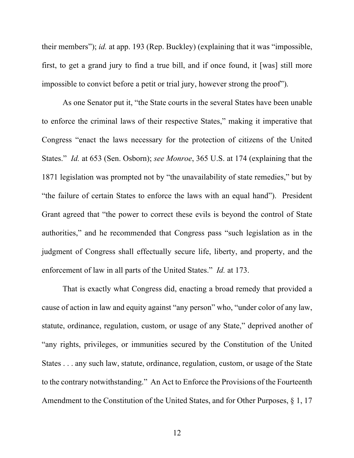their members"); *id.* at app. 193 (Rep. Buckley) (explaining that it was "impossible, first, to get a grand jury to find a true bill, and if once found, it [was] still more impossible to convict before a petit or trial jury, however strong the proof").

As one Senator put it, "the State courts in the several States have been unable to enforce the criminal laws of their respective States," making it imperative that Congress "enact the laws necessary for the protection of citizens of the United States." *Id.* at 653 (Sen. Osborn); *see Monroe*, 365 U.S. at 174 (explaining that the 1871 legislation was prompted not by "the unavailability of state remedies," but by "the failure of certain States to enforce the laws with an equal hand"). President Grant agreed that "the power to correct these evils is beyond the control of State authorities," and he recommended that Congress pass "such legislation as in the judgment of Congress shall effectually secure life, liberty, and property, and the enforcement of law in all parts of the United States." *Id.* at 173.

That is exactly what Congress did, enacting a broad remedy that provided a cause of action in law and equity against "any person" who, "under color of any law, statute, ordinance, regulation, custom, or usage of any State," deprived another of "any rights, privileges, or immunities secured by the Constitution of the United States . . . any such law, statute, ordinance, regulation, custom, or usage of the State to the contrary notwithstanding." An Act to Enforce the Provisions of the Fourteenth Amendment to the Constitution of the United States, and for Other Purposes, § 1, 17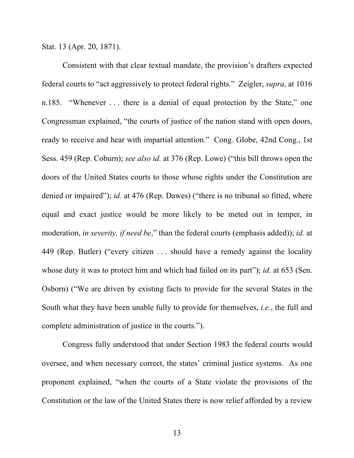Stat. 13 (Apr. 20, 1871).

Consistent with that clear textual mandate, the provision's drafters expected federal courts to "act aggressively to protect federal rights." Zeigler, *supra*, at 1016 n.185. "Whenever . . . there is a denial of equal protection by the State," one Congressman explained, "the courts of justice of the nation stand with open doors, ready to receive and hear with impartial attention." Cong. Globe, 42nd Cong., 1st Sess. 459 (Rep. Coburn); *see also id.* at 376 (Rep. Lowe) ("this bill throws open the doors of the United States courts to those whose rights under the Constitution are denied or impaired"); *id.* at 476 (Rep. Dawes) ("there is no tribunal so fitted, where equal and exact justice would be more likely to be meted out in temper, in moderation, *in severity, if need be*," than the federal courts (emphasis added)); *id.* at 449 (Rep. Butler) ("every citizen . . . should have a remedy against the locality whose duty it was to protect him and which had failed on its part"); *id.* at 653 (Sen. Osborn) ("We are driven by existing facts to provide for the several States in the South what they have been unable fully to provide for themselves, *i.e.*, the full and complete administration of justice in the courts.").

Congress fully understood that under Section 1983 the federal courts would oversee, and when necessary correct, the states' criminal justice systems. As one proponent explained, "when the courts of a State violate the provisions of the Constitution or the law of the United States there is now relief afforded by a review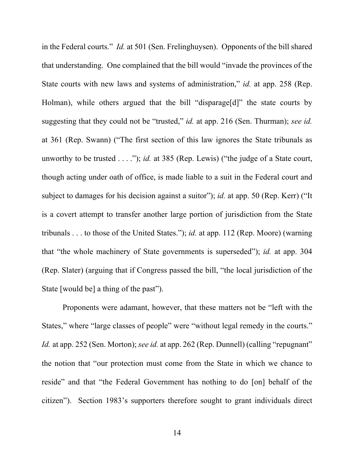in the Federal courts." *Id.* at 501 (Sen. Frelinghuysen). Opponents of the bill shared that understanding. One complained that the bill would "invade the provinces of the State courts with new laws and systems of administration," *id.* at app. 258 (Rep. Holman), while others argued that the bill "disparage[d]" the state courts by suggesting that they could not be "trusted," *id.* at app. 216 (Sen. Thurman); *see id.* at 361 (Rep. Swann) ("The first section of this law ignores the State tribunals as unworthy to be trusted . . . ."); *id.* at 385 (Rep. Lewis) ("the judge of a State court, though acting under oath of office, is made liable to a suit in the Federal court and subject to damages for his decision against a suitor"); *id.* at app. 50 (Rep. Kerr) ("It is a covert attempt to transfer another large portion of jurisdiction from the State tribunals . . . to those of the United States."); *id.* at app. 112 (Rep. Moore) (warning that "the whole machinery of State governments is superseded"); *id.* at app. 304 (Rep. Slater) (arguing that if Congress passed the bill, "the local jurisdiction of the State [would be] a thing of the past").

Proponents were adamant, however, that these matters not be "left with the States," where "large classes of people" were "without legal remedy in the courts." *Id.* at app. 252 (Sen. Morton); *see id.* at app. 262 (Rep. Dunnell) (calling "repugnant" the notion that "our protection must come from the State in which we chance to reside" and that "the Federal Government has nothing to do [on] behalf of the citizen"). Section 1983's supporters therefore sought to grant individuals direct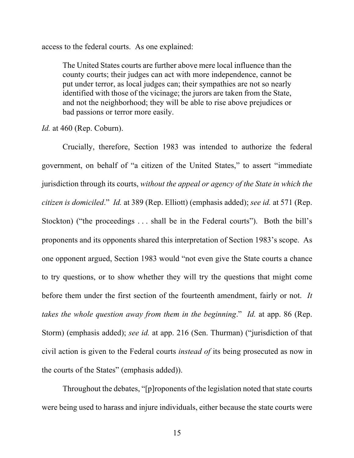access to the federal courts. As one explained:

The United States courts are further above mere local influence than the county courts; their judges can act with more independence, cannot be put under terror, as local judges can; their sympathies are not so nearly identified with those of the vicinage; the jurors are taken from the State, and not the neighborhood; they will be able to rise above prejudices or bad passions or terror more easily.

*Id.* at 460 (Rep. Coburn).

Crucially, therefore, Section 1983 was intended to authorize the federal government, on behalf of "a citizen of the United States," to assert "immediate jurisdiction through its courts, *without the appeal or agency of the State in which the citizen is domiciled*." *Id.* at 389 (Rep. Elliott) (emphasis added); *see id.* at 571 (Rep. Stockton) ("the proceedings . . . shall be in the Federal courts"). Both the bill's proponents and its opponents shared this interpretation of Section 1983's scope. As one opponent argued, Section 1983 would "not even give the State courts a chance to try questions, or to show whether they will try the questions that might come before them under the first section of the fourteenth amendment, fairly or not. *It takes the whole question away from them in the beginning*." *Id.* at app. 86 (Rep. Storm) (emphasis added); *see id.* at app. 216 (Sen. Thurman) ("jurisdiction of that civil action is given to the Federal courts *instead of* its being prosecuted as now in the courts of the States" (emphasis added)).

Throughout the debates, "[p]roponents of the legislation noted that state courts were being used to harass and injure individuals, either because the state courts were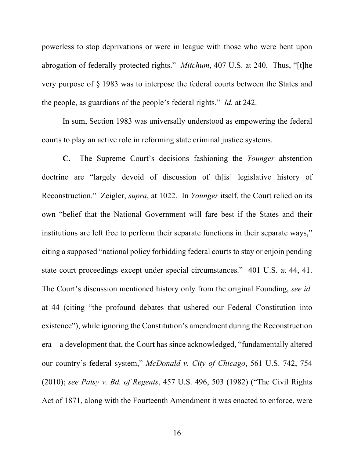powerless to stop deprivations or were in league with those who were bent upon abrogation of federally protected rights." *Mitchum*, 407 U.S. at 240. Thus, "[t]he very purpose of § 1983 was to interpose the federal courts between the States and the people, as guardians of the people's federal rights." *Id.* at 242.

In sum, Section 1983 was universally understood as empowering the federal courts to play an active role in reforming state criminal justice systems.

**C.** The Supreme Court's decisions fashioning the *Younger* abstention doctrine are "largely devoid of discussion of th[is] legislative history of Reconstruction." Zeigler, *supra*, at 1022. In *Younger* itself, the Court relied on its own "belief that the National Government will fare best if the States and their institutions are left free to perform their separate functions in their separate ways," citing a supposed "national policy forbidding federal courts to stay or enjoin pending state court proceedings except under special circumstances." 401 U.S. at 44, 41. The Court's discussion mentioned history only from the original Founding, *see id.* at 44 (citing "the profound debates that ushered our Federal Constitution into existence"), while ignoring the Constitution's amendment during the Reconstruction era—a development that, the Court has since acknowledged, "fundamentally altered our country's federal system," *McDonald v. City of Chicago*, 561 U.S. 742, 754 (2010); *see Patsy v. Bd. of Regents*, 457 U.S. 496, 503 (1982) ("The Civil Rights Act of 1871, along with the Fourteenth Amendment it was enacted to enforce, were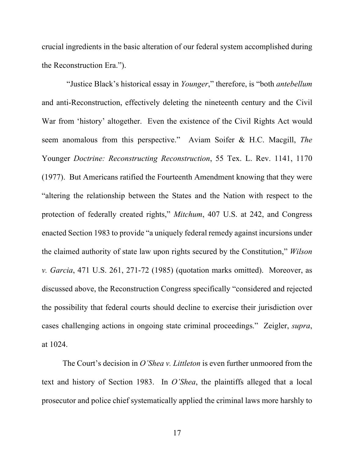crucial ingredients in the basic alteration of our federal system accomplished during the Reconstruction Era.").

 "Justice Black's historical essay in *Younger*," therefore, is "both *antebellum* and anti-Reconstruction, effectively deleting the nineteenth century and the Civil War from 'history' altogether. Even the existence of the Civil Rights Act would seem anomalous from this perspective." Aviam Soifer & H.C. Macgill, *The*  Younger *Doctrine: Reconstructing Reconstruction*, 55 Tex. L. Rev. 1141, 1170 (1977). But Americans ratified the Fourteenth Amendment knowing that they were "altering the relationship between the States and the Nation with respect to the protection of federally created rights," *Mitchum*, 407 U.S. at 242, and Congress enacted Section 1983 to provide "a uniquely federal remedy against incursions under the claimed authority of state law upon rights secured by the Constitution," *Wilson v. Garcia*, 471 U.S. 261, 271-72 (1985) (quotation marks omitted). Moreover, as discussed above, the Reconstruction Congress specifically "considered and rejected the possibility that federal courts should decline to exercise their jurisdiction over cases challenging actions in ongoing state criminal proceedings." Zeigler, *supra*, at 1024.

The Court's decision in *O'Shea v. Littleton* is even further unmoored from the text and history of Section 1983. In *O'Shea*, the plaintiffs alleged that a local prosecutor and police chief systematically applied the criminal laws more harshly to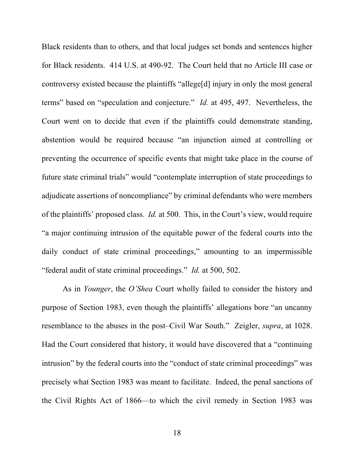Black residents than to others, and that local judges set bonds and sentences higher for Black residents. 414 U.S. at 490-92. The Court held that no Article III case or controversy existed because the plaintiffs "allege[d] injury in only the most general terms" based on "speculation and conjecture." *Id.* at 495, 497. Nevertheless, the Court went on to decide that even if the plaintiffs could demonstrate standing, abstention would be required because "an injunction aimed at controlling or preventing the occurrence of specific events that might take place in the course of future state criminal trials" would "contemplate interruption of state proceedings to adjudicate assertions of noncompliance" by criminal defendants who were members of the plaintiffs' proposed class. *Id.* at 500. This, in the Court's view, would require "a major continuing intrusion of the equitable power of the federal courts into the daily conduct of state criminal proceedings," amounting to an impermissible "federal audit of state criminal proceedings." *Id.* at 500, 502.

As in *Younger*, the *O'Shea* Court wholly failed to consider the history and purpose of Section 1983, even though the plaintiffs' allegations bore "an uncanny resemblance to the abuses in the post–Civil War South." Zeigler, *supra*, at 1028. Had the Court considered that history, it would have discovered that a "continuing intrusion" by the federal courts into the "conduct of state criminal proceedings" was precisely what Section 1983 was meant to facilitate. Indeed, the penal sanctions of the Civil Rights Act of 1866—to which the civil remedy in Section 1983 was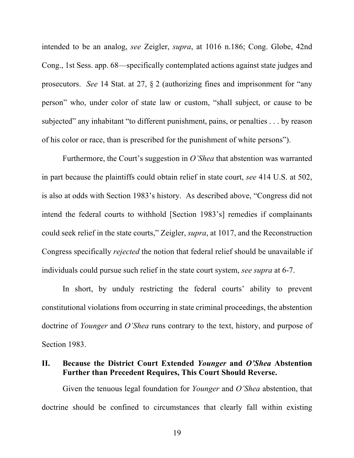intended to be an analog, *see* Zeigler, *supra*, at 1016 n.186; Cong. Globe, 42nd Cong., 1st Sess. app. 68—specifically contemplated actions against state judges and prosecutors. *See* 14 Stat. at 27, § 2 (authorizing fines and imprisonment for "any person" who, under color of state law or custom, "shall subject, or cause to be subjected" any inhabitant "to different punishment, pains, or penalties . . . by reason of his color or race, than is prescribed for the punishment of white persons").

Furthermore, the Court's suggestion in *O'Shea* that abstention was warranted in part because the plaintiffs could obtain relief in state court, *see* 414 U.S. at 502, is also at odds with Section 1983's history. As described above, "Congress did not intend the federal courts to withhold [Section 1983's] remedies if complainants could seek relief in the state courts," Zeigler, *supra*, at 1017, and the Reconstruction Congress specifically *rejected* the notion that federal relief should be unavailable if individuals could pursue such relief in the state court system, *see supra* at 6-7.

In short, by unduly restricting the federal courts' ability to prevent constitutional violations from occurring in state criminal proceedings, the abstention doctrine of *Younger* and *O'Shea* runs contrary to the text, history, and purpose of Section 1983.

#### **II. Because the District Court Extended** *Younger* **and** *O'Shea* **Abstention Further than Precedent Requires, This Court Should Reverse.**

Given the tenuous legal foundation for *Younger* and *O'Shea* abstention, that doctrine should be confined to circumstances that clearly fall within existing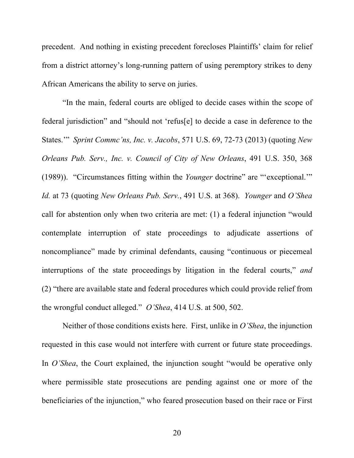precedent. And nothing in existing precedent forecloses Plaintiffs' claim for relief from a district attorney's long-running pattern of using peremptory strikes to deny African Americans the ability to serve on juries.

"In the main, federal courts are obliged to decide cases within the scope of federal jurisdiction" and "should not 'refus[e] to decide a case in deference to the States.'" *Sprint Commc'ns, Inc. v. Jacobs*, 571 U.S. 69, 72-73 (2013) (quoting *New Orleans Pub. Serv., Inc. v. Council of City of New Orleans*, 491 U.S. 350, 368 (1989)). "Circumstances fitting within the *Younger* doctrine" are "'exceptional.'" *Id.* at 73 (quoting *New Orleans Pub. Serv.*, 491 U.S. at 368). *Younger* and *O'Shea* call for abstention only when two criteria are met: (1) a federal injunction "would contemplate interruption of state proceedings to adjudicate assertions of noncompliance" made by criminal defendants, causing "continuous or piecemeal interruptions of the state proceedings by litigation in the federal courts," *and* (2) "there are available state and federal procedures which could provide relief from the wrongful conduct alleged." *O'Shea*, 414 U.S. at 500, 502.

Neither of those conditions exists here. First, unlike in *O'Shea*, the injunction requested in this case would not interfere with current or future state proceedings. In *O'Shea*, the Court explained, the injunction sought "would be operative only where permissible state prosecutions are pending against one or more of the beneficiaries of the injunction," who feared prosecution based on their race or First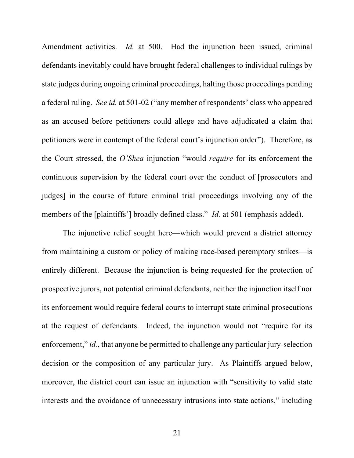Amendment activities. *Id.* at 500. Had the injunction been issued, criminal defendants inevitably could have brought federal challenges to individual rulings by state judges during ongoing criminal proceedings, halting those proceedings pending a federal ruling. *See id.* at 501-02 ("any member of respondents' class who appeared as an accused before petitioners could allege and have adjudicated a claim that petitioners were in contempt of the federal court's injunction order"). Therefore, as the Court stressed, the *O'Shea* injunction "would *require* for its enforcement the continuous supervision by the federal court over the conduct of [prosecutors and judges] in the course of future criminal trial proceedings involving any of the members of the [plaintiffs'] broadly defined class." *Id.* at 501 (emphasis added).

The injunctive relief sought here—which would prevent a district attorney from maintaining a custom or policy of making race-based peremptory strikes—is entirely different. Because the injunction is being requested for the protection of prospective jurors, not potential criminal defendants, neither the injunction itself nor its enforcement would require federal courts to interrupt state criminal prosecutions at the request of defendants. Indeed, the injunction would not "require for its enforcement," *id.*, that anyone be permitted to challenge any particular jury-selection decision or the composition of any particular jury. As Plaintiffs argued below, moreover, the district court can issue an injunction with "sensitivity to valid state interests and the avoidance of unnecessary intrusions into state actions," including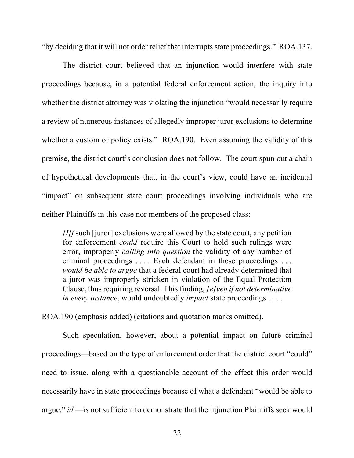"by deciding that it will not order relief that interrupts state proceedings." ROA.137.

The district court believed that an injunction would interfere with state proceedings because, in a potential federal enforcement action, the inquiry into whether the district attorney was violating the injunction "would necessarily require a review of numerous instances of allegedly improper juror exclusions to determine whether a custom or policy exists." ROA.190. Even assuming the validity of this premise, the district court's conclusion does not follow. The court spun out a chain of hypothetical developments that, in the court's view, could have an incidental "impact" on subsequent state court proceedings involving individuals who are neither Plaintiffs in this case nor members of the proposed class:

*[I]f* such [juror] exclusions were allowed by the state court, any petition for enforcement *could* require this Court to hold such rulings were error, improperly *calling into question* the validity of any number of criminal proceedings . . . . Each defendant in these proceedings . . . *would be able to argue* that a federal court had already determined that a juror was improperly stricken in violation of the Equal Protection Clause, thus requiring reversal. This finding, *[e]ven if not determinative in every instance*, would undoubtedly *impact* state proceedings . . . .

ROA.190 (emphasis added) (citations and quotation marks omitted).

Such speculation, however, about a potential impact on future criminal proceedings—based on the type of enforcement order that the district court "could" need to issue, along with a questionable account of the effect this order would necessarily have in state proceedings because of what a defendant "would be able to argue," *id.*—is not sufficient to demonstrate that the injunction Plaintiffs seek would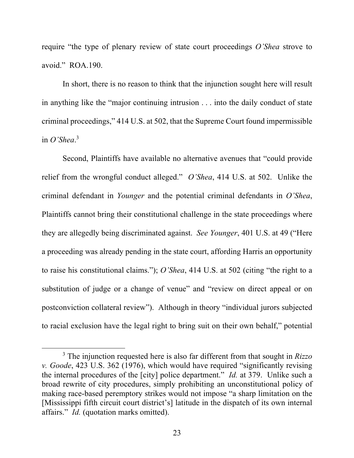require "the type of plenary review of state court proceedings *O'Shea* strove to avoid." ROA.190.

In short, there is no reason to think that the injunction sought here will result in anything like the "major continuing intrusion . . . into the daily conduct of state criminal proceedings," 414 U.S. at 502, that the Supreme Court found impermissible in *O'Shea*. 3

Second, Plaintiffs have available no alternative avenues that "could provide relief from the wrongful conduct alleged." *O'Shea*, 414 U.S. at 502. Unlike the criminal defendant in *Younger* and the potential criminal defendants in *O'Shea*, Plaintiffs cannot bring their constitutional challenge in the state proceedings where they are allegedly being discriminated against. *See Younger*, 401 U.S. at 49 ("Here a proceeding was already pending in the state court, affording Harris an opportunity to raise his constitutional claims."); *O'Shea*, 414 U.S. at 502 (citing "the right to a substitution of judge or a change of venue" and "review on direct appeal or on postconviction collateral review"). Although in theory "individual jurors subjected to racial exclusion have the legal right to bring suit on their own behalf," potential

<sup>3</sup> The injunction requested here is also far different from that sought in *Rizzo v. Goode*, 423 U.S. 362 (1976), which would have required "significantly revising the internal procedures of the [city] police department." *Id.* at 379. Unlike such a broad rewrite of city procedures, simply prohibiting an unconstitutional policy of making race-based peremptory strikes would not impose "a sharp limitation on the [Mississippi fifth circuit court district's] latitude in the dispatch of its own internal affairs." *Id.* (quotation marks omitted).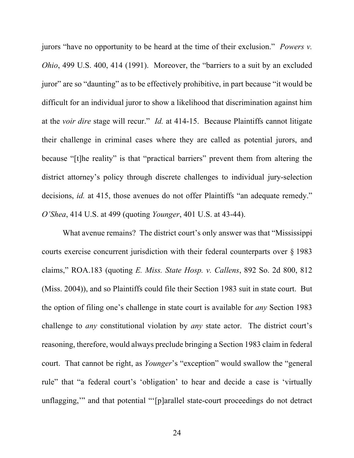jurors "have no opportunity to be heard at the time of their exclusion." *Powers v. Ohio*, 499 U.S. 400, 414 (1991). Moreover, the "barriers to a suit by an excluded juror" are so "daunting" as to be effectively prohibitive, in part because "it would be difficult for an individual juror to show a likelihood that discrimination against him at the *voir dire* stage will recur." *Id.* at 414-15. Because Plaintiffs cannot litigate their challenge in criminal cases where they are called as potential jurors, and because "[t]he reality" is that "practical barriers" prevent them from altering the district attorney's policy through discrete challenges to individual jury-selection decisions, *id.* at 415, those avenues do not offer Plaintiffs "an adequate remedy." *O'Shea*, 414 U.S. at 499 (quoting *Younger*, 401 U.S. at 43-44).

What avenue remains? The district court's only answer was that "Mississippi courts exercise concurrent jurisdiction with their federal counterparts over § 1983 claims," ROA.183 (quoting *E. Miss. State Hosp. v. Callens*, 892 So. 2d 800, 812 (Miss. 2004)), and so Plaintiffs could file their Section 1983 suit in state court. But the option of filing one's challenge in state court is available for *any* Section 1983 challenge to *any* constitutional violation by *any* state actor. The district court's reasoning, therefore, would always preclude bringing a Section 1983 claim in federal court. That cannot be right, as *Younger*'s "exception" would swallow the "general rule" that "a federal court's 'obligation' to hear and decide a case is 'virtually unflagging,'" and that potential "'[p]arallel state-court proceedings do not detract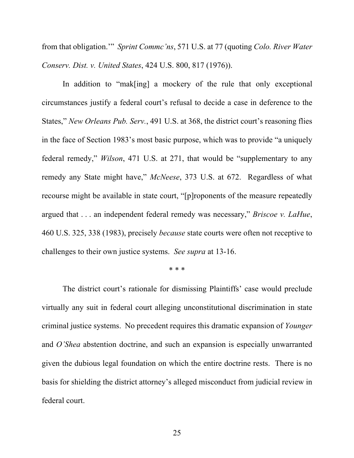from that obligation.'" *Sprint Commc'ns*, 571 U.S. at 77 (quoting *Colo. River Water Conserv. Dist. v. United States*, 424 U.S. 800, 817 (1976)).

In addition to "mak[ing] a mockery of the rule that only exceptional circumstances justify a federal court's refusal to decide a case in deference to the States," *New Orleans Pub. Serv.*, 491 U.S. at 368, the district court's reasoning flies in the face of Section 1983's most basic purpose, which was to provide "a uniquely federal remedy," *Wilson*, 471 U.S. at 271, that would be "supplementary to any remedy any State might have," *McNeese*, 373 U.S. at 672. Regardless of what recourse might be available in state court, "[p]roponents of the measure repeatedly argued that . . . an independent federal remedy was necessary," *Briscoe v. LaHue*, 460 U.S. 325, 338 (1983), precisely *because* state courts were often not receptive to challenges to their own justice systems. *See supra* at 13-16.

\* \* \*

The district court's rationale for dismissing Plaintiffs' case would preclude virtually any suit in federal court alleging unconstitutional discrimination in state criminal justice systems. No precedent requires this dramatic expansion of *Younger* and *O'Shea* abstention doctrine, and such an expansion is especially unwarranted given the dubious legal foundation on which the entire doctrine rests. There is no basis for shielding the district attorney's alleged misconduct from judicial review in federal court.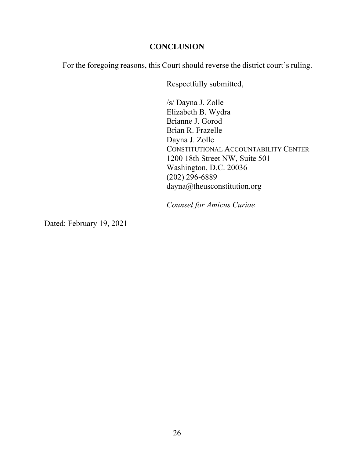### **CONCLUSION**

For the foregoing reasons, this Court should reverse the district court's ruling.

Respectfully submitted,

/s/ Dayna J. Zolle Elizabeth B. Wydra Brianne J. Gorod Brian R. Frazelle Dayna J. Zolle CONSTITUTIONAL ACCOUNTABILITY CENTER 1200 18th Street NW, Suite 501 Washington, D.C. 20036 (202) 296-6889 dayna@theusconstitution.org

*Counsel for Amicus Curiae*

Dated: February 19, 2021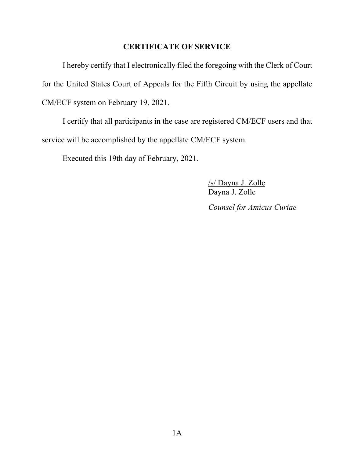### **CERTIFICATE OF SERVICE**

I hereby certify that I electronically filed the foregoing with the Clerk of Court for the United States Court of Appeals for the Fifth Circuit by using the appellate CM/ECF system on February 19, 2021.

I certify that all participants in the case are registered CM/ECF users and that service will be accomplished by the appellate CM/ECF system.

Executed this 19th day of February, 2021.

/s/ Dayna J. Zolle Dayna J. Zolle *Counsel for Amicus Curiae*